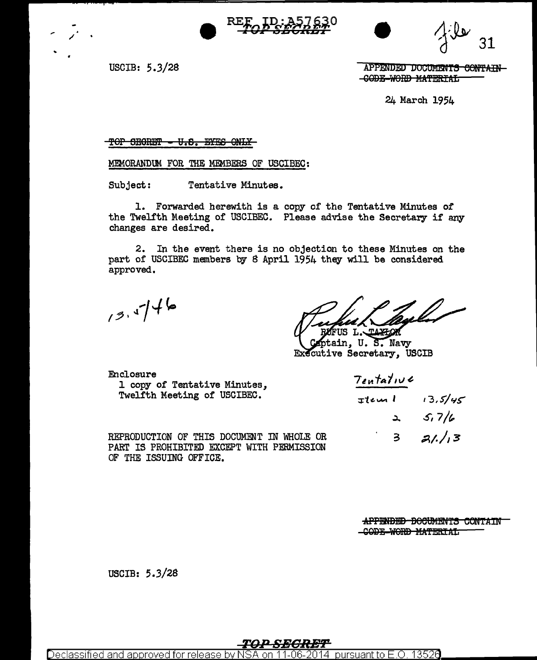

USCIB:  $5.3/28$ 

APPENDED DOCUMENTS CONTAIN -CODE-WORD MATERIAL

24 March 1954

#### TOP SECRET - U.S. EYES ONLY-

MEMORANDUM FOR THE MEMBERS OF USCIBEC:

Subject: Tentative Minutes.

1. Forwarded herewith is a copy of the Tentative Minutes of the Twelfth Meeting of USCIBEC. Please advise the Secretary if any changes are desired.

2. In the event there is no objection to these Minutes on the part of USCIBEC members by 8 April 1954 they will be considered approved.

 $13.46$ 

7., j US L. TAXLOR

stain, U.S. Navy Executive Secretary, USCIB

Enclosure 1 copy of Tentative Minutes, Twelfth Meeting of USCIBEC.

REPRODUCTION OF THIS DOCUMENT IN WHOLE OR PART IS PROHIBITED EXCEPT WITH PERMISSION OF THE ISSUING OFFICE.

| Tentative          |   |         |
|--------------------|---|---------|
| <del>I</del> tem l |   | 13.5/45 |
|                    | ے | 5,7/6   |
|                    | 3 | 31.13   |

APPENDED DOCUMENTS CONTAIN -CODE-WORD MATERIAL

USCIB: 5.3/28

pursuant to E.O. 13526 Declassified and approved for release by N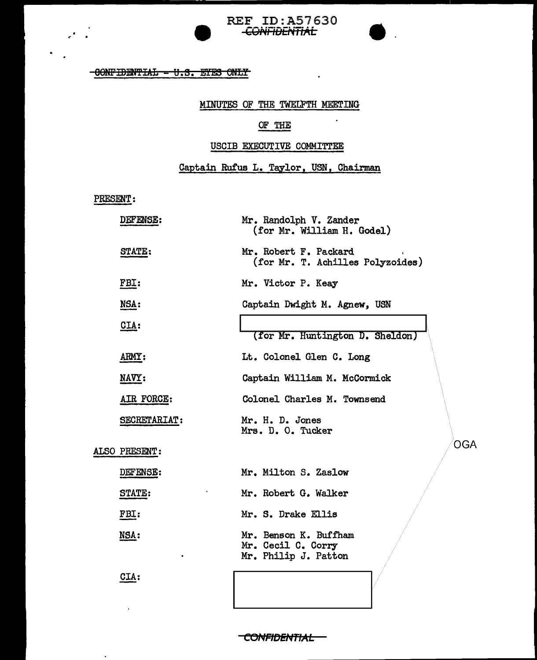## $-00$ NFIBENTIAL  $-$  U.S. FIES ONLY

## MINUTES OF THE TWELFTH MEETING

 $\mathbf{r}$ 

 $\hat{\textbf{r}}$ 

REF ID:A57630<br>CONFIDENTIAL

# OF THE

## USCIB EXECUTIVE COMMITTEE

# Captain Rufus L. Taylor, USN, Chairman

PRESENT:

| DEFENSE:      | Mr. Randolph V. Zander<br>(for Mr. William H. Godel)                |  |
|---------------|---------------------------------------------------------------------|--|
| STATE:        | Mr. Robert F. Packard<br>(for Mr. T. Achilles Polyzoides)           |  |
| FBI:          | Mr. Victor P. Keay                                                  |  |
| NSA:          | Captain Dwight M. Agnew, USN                                        |  |
| CIA:          | (for Mr. Huntington D. Sheldon)                                     |  |
| ARMY:         | Lt. Colonel Glen C. Long                                            |  |
| NAVY:         | Captain William M. McCormick                                        |  |
| AIR FORCE:    | Colonel Charles M. Townsend                                         |  |
| SECRETARIAT:  | Mr. H. D. Jones<br>Mrs. D. O. Tucker                                |  |
| ALSO PRESENT: | <b>OGA</b>                                                          |  |
| DEFENSE:      | Mr. Milton S. Zaslow                                                |  |
| STATE:        | Mr. Robert G. Walker                                                |  |
| FBI:          | Mr. S. Drake Ellis                                                  |  |
| <u>NSA:</u>   | Mr. Benson K. Buffham<br>Mr. Cecil C. Corry<br>Mr. Philip J. Patton |  |

CIA:

 $\mathbf{r}$ 

 $\ddot{\phantom{0}}$ 

CONFIDENTIAL